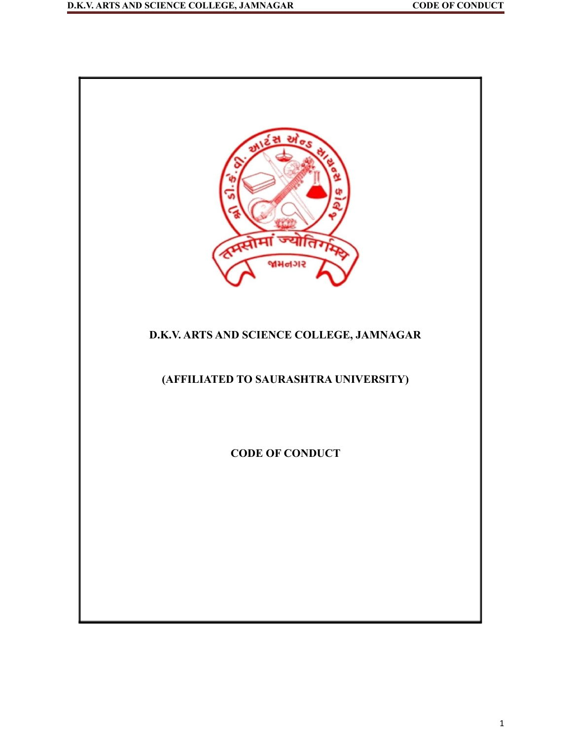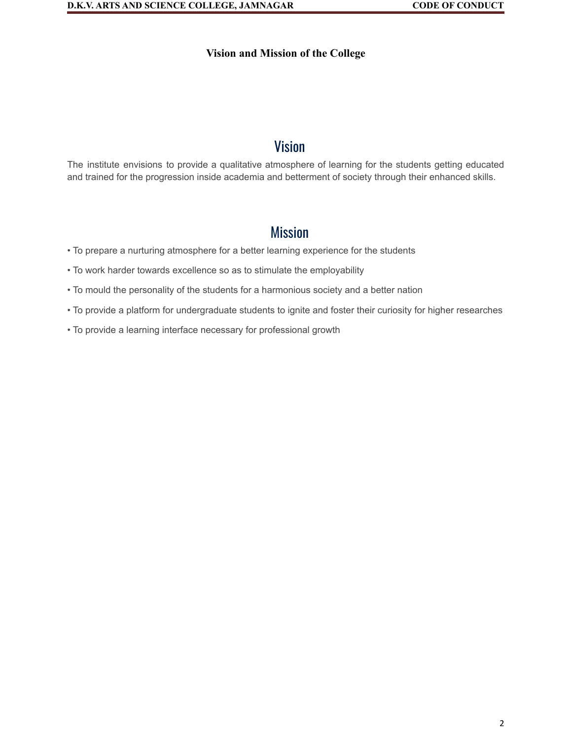#### **Vision and Mission of the College**

# Vision

The institute envisions to provide a qualitative atmosphere of learning for the students getting educated and trained for the progression inside academia and betterment of society through their enhanced skills.

# **Mission**

- To prepare a nurturing atmosphere for a better learning experience for the students
- To work harder towards excellence so as to stimulate the employability
- To mould the personality of the students for a harmonious society and a better nation
- To provide a platform for undergraduate students to ignite and foster their curiosity for higher researches
- To provide a learning interface necessary for professional growth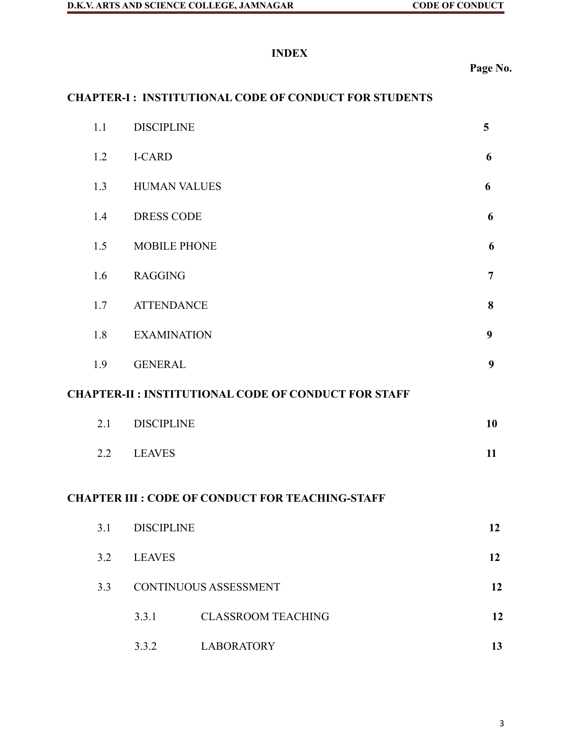# **INDEX**

**Page No.**

# **CHAPTER-I : INSTITUTIONAL CODE OF CONDUCT FOR STUDENTS**

|                                                            | 1.1 | <b>DISCIPLINE</b>            |                           |                |  |  |  |  |
|------------------------------------------------------------|-----|------------------------------|---------------------------|----------------|--|--|--|--|
|                                                            | 1.2 | <b>I-CARD</b>                |                           | 6              |  |  |  |  |
|                                                            | 1.3 | <b>HUMAN VALUES</b>          |                           | 6              |  |  |  |  |
|                                                            | 1.4 | <b>DRESS CODE</b>            |                           | 6              |  |  |  |  |
|                                                            | 1.5 | <b>MOBILE PHONE</b>          |                           | 6              |  |  |  |  |
|                                                            | 1.6 | <b>RAGGING</b>               |                           | $\overline{7}$ |  |  |  |  |
|                                                            | 1.7 | <b>ATTENDANCE</b>            |                           |                |  |  |  |  |
|                                                            | 1.8 | <b>EXAMINATION</b>           |                           |                |  |  |  |  |
|                                                            | 1.9 | <b>GENERAL</b>               |                           |                |  |  |  |  |
| <b>CHAPTER-II: INSTITUTIONAL CODE OF CONDUCT FOR STAFF</b> |     |                              |                           |                |  |  |  |  |
|                                                            | 2.1 | <b>DISCIPLINE</b>            |                           |                |  |  |  |  |
|                                                            | 2.2 | <b>LEAVES</b>                |                           |                |  |  |  |  |
| <b>CHAPTER III : CODE OF CONDUCT FOR TEACHING-STAFF</b>    |     |                              |                           |                |  |  |  |  |
|                                                            | 3.1 | <b>DISCIPLINE</b>            |                           | 12             |  |  |  |  |
|                                                            | 3.2 | <b>LEAVES</b>                |                           |                |  |  |  |  |
|                                                            | 3.3 | <b>CONTINUOUS ASSESSMENT</b> |                           |                |  |  |  |  |
|                                                            |     | 3.3.1                        | <b>CLASSROOM TEACHING</b> | 12             |  |  |  |  |
|                                                            |     | 3.3.2                        | <b>LABORATORY</b>         | 13             |  |  |  |  |

3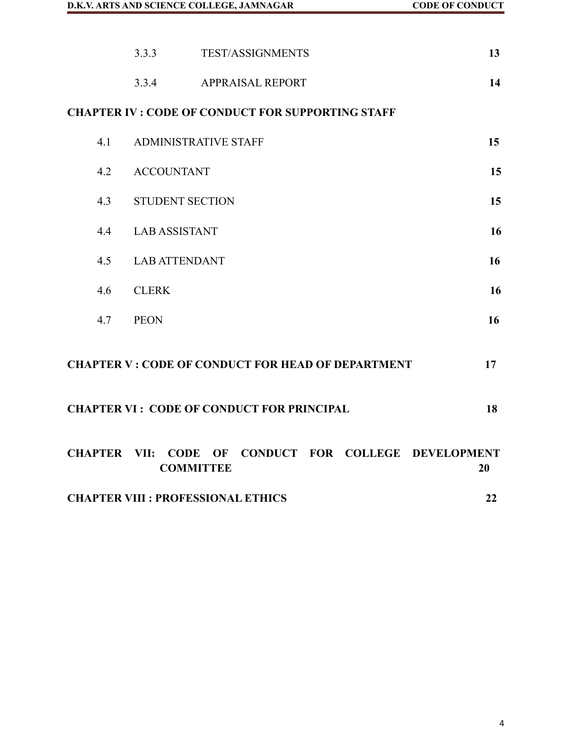|                                                                                          |                                                 | 3.3.3                       | <b>TEST/ASSIGNMENTS</b>                                  | 13 |  |  |  |
|------------------------------------------------------------------------------------------|-------------------------------------------------|-----------------------------|----------------------------------------------------------|----|--|--|--|
|                                                                                          |                                                 | 3.3.4                       | <b>APPRAISAL REPORT</b>                                  | 14 |  |  |  |
|                                                                                          |                                                 |                             | <b>CHAPTER IV : CODE OF CONDUCT FOR SUPPORTING STAFF</b> |    |  |  |  |
|                                                                                          | 4.1                                             | <b>ADMINISTRATIVE STAFF</b> | 15                                                       |    |  |  |  |
|                                                                                          | 4.2                                             | <b>ACCOUNTANT</b>           | 15                                                       |    |  |  |  |
|                                                                                          | 4.3                                             | <b>STUDENT SECTION</b>      | 15                                                       |    |  |  |  |
|                                                                                          | 4.4                                             | <b>LAB ASSISTANT</b>        |                                                          | 16 |  |  |  |
|                                                                                          | 4.5                                             | <b>LAB ATTENDANT</b>        |                                                          | 16 |  |  |  |
|                                                                                          | 4.6                                             | <b>CLERK</b>                |                                                          | 16 |  |  |  |
|                                                                                          | 4.7                                             | <b>PEON</b>                 |                                                          | 16 |  |  |  |
| <b>CHAPTER V : CODE OF CONDUCT FOR HEAD OF DEPARTMENT</b><br>17                          |                                                 |                             |                                                          |    |  |  |  |
| <b>CHAPTER VI : CODE OF CONDUCT FOR PRINCIPAL</b><br>18                                  |                                                 |                             |                                                          |    |  |  |  |
| CONDUCT FOR COLLEGE DEVELOPMENT<br><b>CHAPTER VII: CODE OF</b><br><b>COMMITTEE</b><br>20 |                                                 |                             |                                                          |    |  |  |  |
|                                                                                          | <b>CHAPTER VIII : PROFESSIONAL ETHICS</b><br>22 |                             |                                                          |    |  |  |  |

4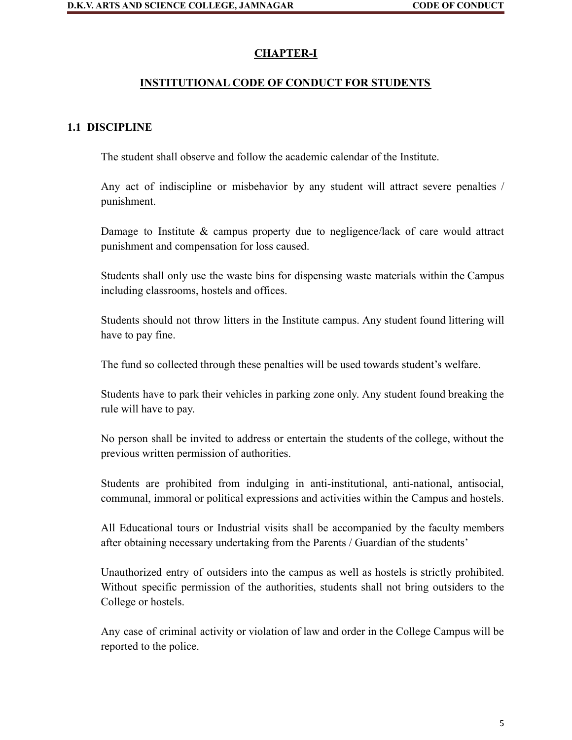### **CHAPTER-I**

#### **INSTITUTIONAL CODE OF CONDUCT FOR STUDENTS**

#### **1.1 DISCIPLINE**

The student shall observe and follow the academic calendar of the Institute.

Any act of indiscipline or misbehavior by any student will attract severe penalties / punishment.

Damage to Institute & campus property due to negligence/lack of care would attract punishment and compensation for loss caused.

Students shall only use the waste bins for dispensing waste materials within the Campus including classrooms, hostels and offices.

Students should not throw litters in the Institute campus. Any student found littering will have to pay fine.

The fund so collected through these penalties will be used towards student's welfare.

Students have to park their vehicles in parking zone only. Any student found breaking the rule will have to pay.

No person shall be invited to address or entertain the students of the college, without the previous written permission of authorities.

Students are prohibited from indulging in anti-institutional, anti-national, antisocial, communal, immoral or political expressions and activities within the Campus and hostels.

All Educational tours or Industrial visits shall be accompanied by the faculty members after obtaining necessary undertaking from the Parents / Guardian of the students'

Unauthorized entry of outsiders into the campus as well as hostels is strictly prohibited. Without specific permission of the authorities, students shall not bring outsiders to the College or hostels.

Any case of criminal activity or violation of law and order in the College Campus will be reported to the police.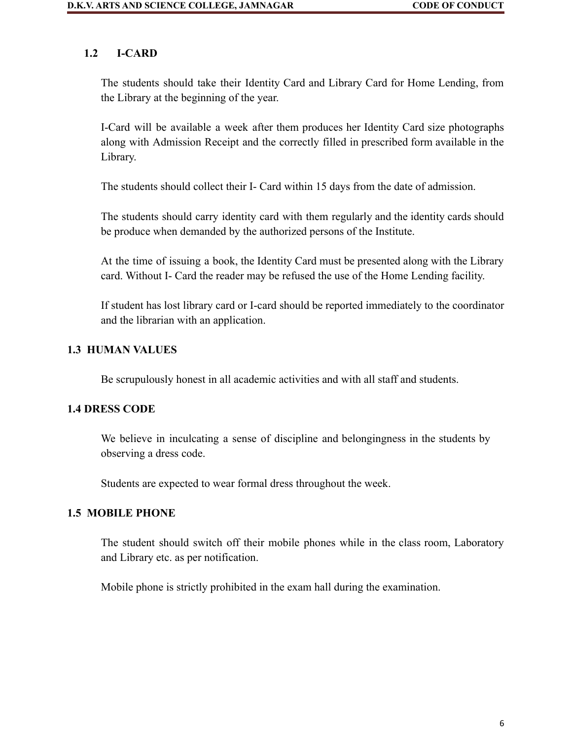### **1.2 I-CARD**

The students should take their Identity Card and Library Card for Home Lending, from the Library at the beginning of the year.

I-Card will be available a week after them produces her Identity Card size photographs along with Admission Receipt and the correctly filled in prescribed form available in the Library.

The students should collect their I- Card within 15 days from the date of admission.

The students should carry identity card with them regularly and the identity cards should be produce when demanded by the authorized persons of the Institute.

At the time of issuing a book, the Identity Card must be presented along with the Library card. Without I- Card the reader may be refused the use of the Home Lending facility.

If student has lost library card or I-card should be reported immediately to the coordinator and the librarian with an application.

### **1.3 HUMAN VALUES**

Be scrupulously honest in all academic activities and with all staff and students.

#### **1.4 DRESS CODE**

We believe in inculcating a sense of discipline and belongingness in the students by observing a dress code.

Students are expected to wear formal dress throughout the week.

#### **1.5 MOBILE PHONE**

The student should switch off their mobile phones while in the class room, Laboratory and Library etc. as per notification.

Mobile phone is strictly prohibited in the exam hall during the examination.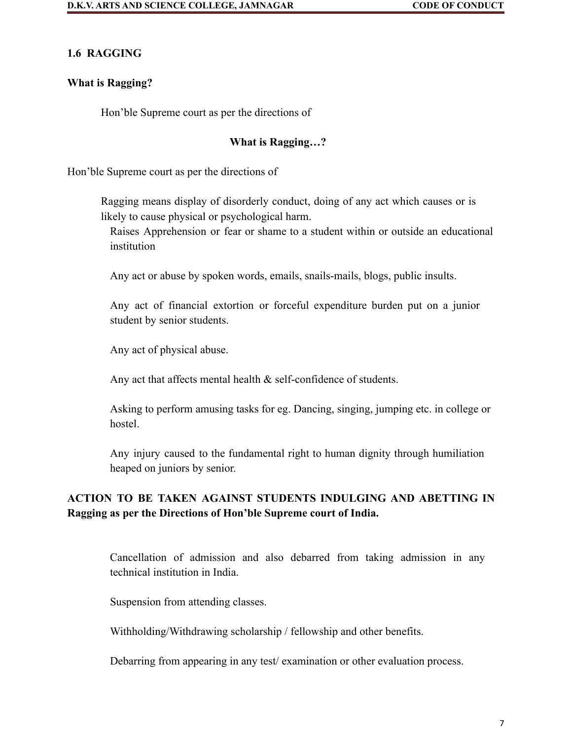### **1.6 RAGGING**

#### **What is Ragging?**

Hon'ble Supreme court as per the directions of

### **What is Ragging…?**

Hon'ble Supreme court as per the directions of

Ragging means display of disorderly conduct, doing of any act which causes or is likely to cause physical or psychological harm.

Raises Apprehension or fear or shame to a student within or outside an educational institution

Any act or abuse by spoken words, emails, snails-mails, blogs, public insults.

Any act of financial extortion or forceful expenditure burden put on a junior student by senior students.

Any act of physical abuse.

Any act that affects mental health & self-confidence of students.

Asking to perform amusing tasks for eg. Dancing, singing, jumping etc. in college or hostel.

Any injury caused to the fundamental right to human dignity through humiliation heaped on juniors by senior.

# **ACTION TO BE TAKEN AGAINST STUDENTS INDULGING AND ABETTING IN Ragging as per the Directions of Hon'ble Supreme court of India.**

Cancellation of admission and also debarred from taking admission in any technical institution in India.

Suspension from attending classes.

Withholding/Withdrawing scholarship / fellowship and other benefits.

Debarring from appearing in any test/ examination or other evaluation process.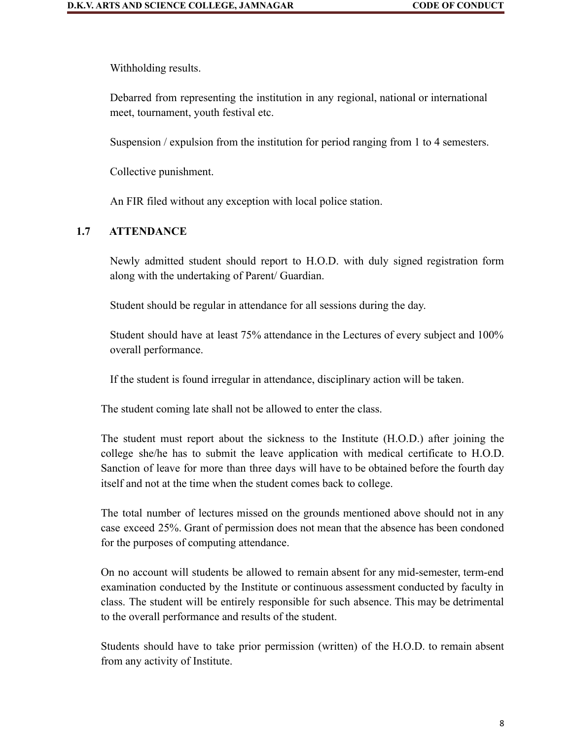Withholding results.

Debarred from representing the institution in any regional, national or international meet, tournament, youth festival etc.

Suspension / expulsion from the institution for period ranging from 1 to 4 semesters.

Collective punishment.

An FIR filed without any exception with local police station.

### **1.7 ATTENDANCE**

Newly admitted student should report to H.O.D. with duly signed registration form along with the undertaking of Parent/ Guardian.

Student should be regular in attendance for all sessions during the day.

Student should have at least 75% attendance in the Lectures of every subject and 100% overall performance.

If the student is found irregular in attendance, disciplinary action will be taken.

The student coming late shall not be allowed to enter the class.

The student must report about the sickness to the Institute (H.O.D.) after joining the college she/he has to submit the leave application with medical certificate to H.O.D. Sanction of leave for more than three days will have to be obtained before the fourth day itself and not at the time when the student comes back to college.

The total number of lectures missed on the grounds mentioned above should not in any case exceed 25%. Grant of permission does not mean that the absence has been condoned for the purposes of computing attendance.

On no account will students be allowed to remain absent for any mid-semester, term-end examination conducted by the Institute or continuous assessment conducted by faculty in class. The student will be entirely responsible for such absence. This may be detrimental to the overall performance and results of the student.

Students should have to take prior permission (written) of the H.O.D. to remain absent from any activity of Institute.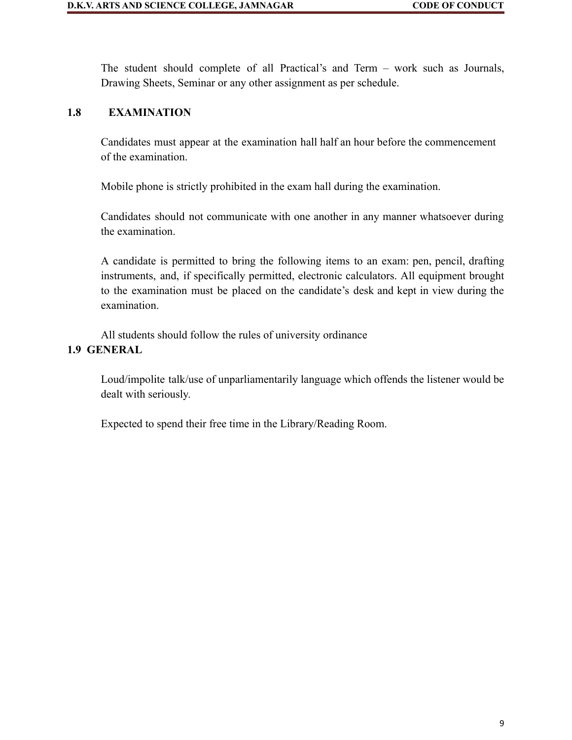The student should complete of all Practical's and Term – work such as Journals, Drawing Sheets, Seminar or any other assignment as per schedule.

### **1.8 EXAMINATION**

Candidates must appear at the examination hall half an hour before the commencement of the examination.

Mobile phone is strictly prohibited in the exam hall during the examination.

Candidates should not communicate with one another in any manner whatsoever during the examination.

A candidate is permitted to bring the following items to an exam: pen, pencil, drafting instruments, and, if specifically permitted, electronic calculators. All equipment brought to the examination must be placed on the candidate's desk and kept in view during the examination.

All students should follow the rules of university ordinance **1.9 GENERAL**

> Loud/impolite talk/use of unparliamentarily language which offends the listener would be dealt with seriously.

Expected to spend their free time in the Library/Reading Room.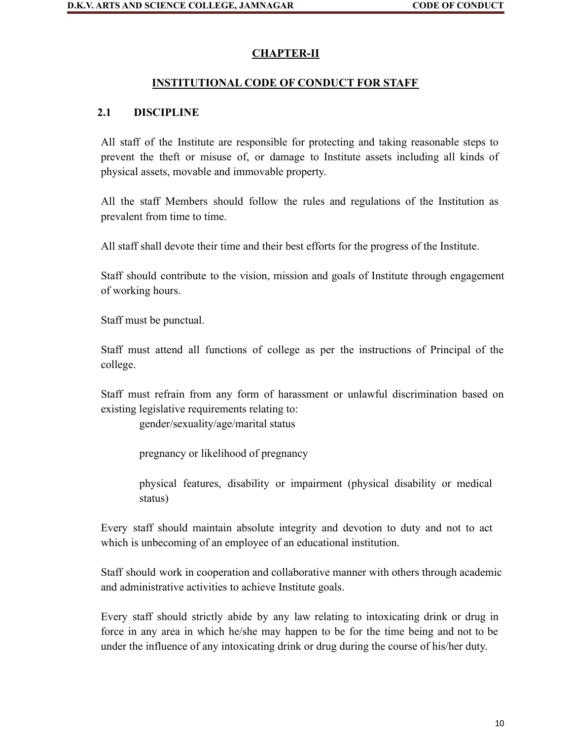# **CHAPTER-II**

## **INSTITUTIONAL CODE OF CONDUCT FOR STAFF**

## **2.1 DISCIPLINE**

All staff of the Institute are responsible for protecting and taking reasonable steps to prevent the theft or misuse of, or damage to Institute assets including all kinds of physical assets, movable and immovable property.

All the staff Members should follow the rules and regulations of the Institution as prevalent from time to time.

All staff shall devote their time and their best efforts for the progress of the Institute.

Staff should contribute to the vision, mission and goals of Institute through engagement of working hours.

Staff must be punctual.

Staff must attend all functions of college as per the instructions of Principal of the college.

Staff must refrain from any form of harassment or unlawful discrimination based on existing legislative requirements relating to:

gender/sexuality/age/marital status

pregnancy or likelihood of pregnancy

physical features, disability or impairment (physical disability or medical status)

Every staff should maintain absolute integrity and devotion to duty and not to act which is unbecoming of an employee of an educational institution.

Staff should work in cooperation and collaborative manner with others through academic and administrative activities to achieve Institute goals.

Every staff should strictly abide by any law relating to intoxicating drink or drug in force in any area in which he/she may happen to be for the time being and not to be under the influence of any intoxicating drink or drug during the course of his/her duty.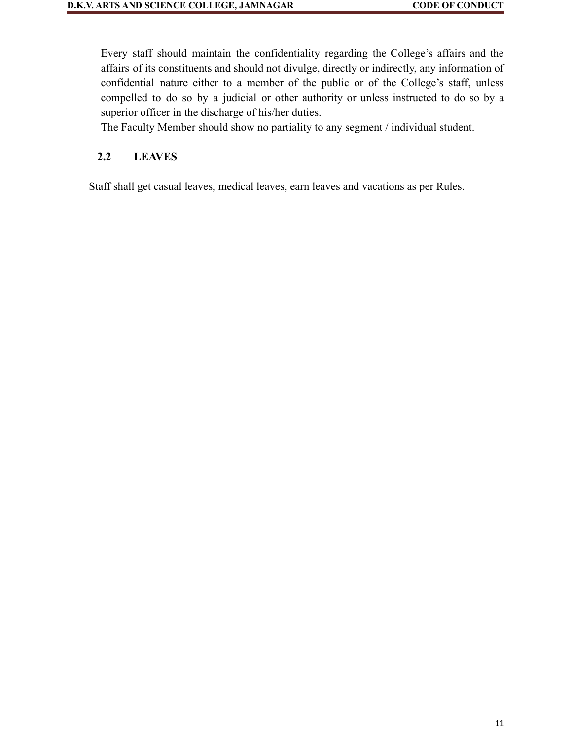Every staff should maintain the confidentiality regarding the College's affairs and the affairs of its constituents and should not divulge, directly or indirectly, any information of confidential nature either to a member of the public or of the College's staff, unless compelled to do so by a judicial or other authority or unless instructed to do so by a superior officer in the discharge of his/her duties.

The Faculty Member should show no partiality to any segment / individual student.

### **2.2 LEAVES**

Staff shall get casual leaves, medical leaves, earn leaves and vacations as per Rules.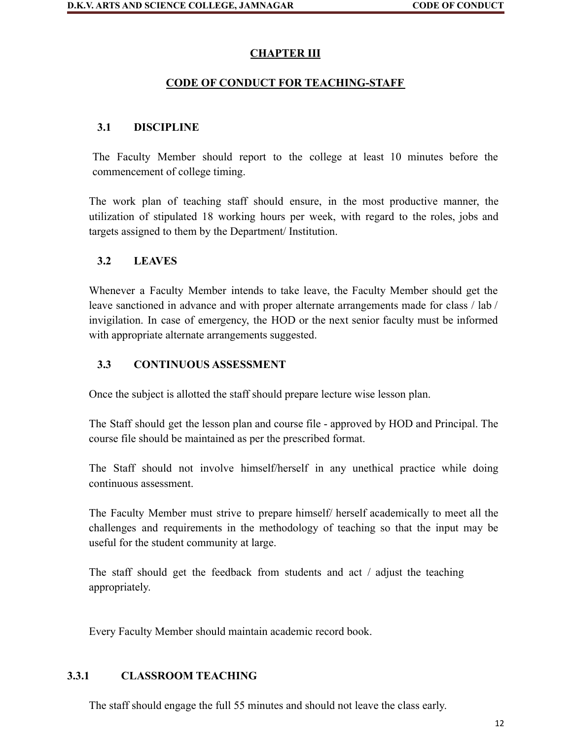## **CHAPTER III**

# **CODE OF CONDUCT FOR TEACHING-STAFF**

# **3.1 DISCIPLINE**

The Faculty Member should report to the college at least 10 minutes before the commencement of college timing.

The work plan of teaching staff should ensure, in the most productive manner, the utilization of stipulated 18 working hours per week, with regard to the roles, jobs and targets assigned to them by the Department/ Institution.

### **3.2 LEAVES**

Whenever a Faculty Member intends to take leave, the Faculty Member should get the leave sanctioned in advance and with proper alternate arrangements made for class / lab / invigilation. In case of emergency, the HOD or the next senior faculty must be informed with appropriate alternate arrangements suggested.

# **3.3 CONTINUOUS ASSESSMENT**

Once the subject is allotted the staff should prepare lecture wise lesson plan.

The Staff should get the lesson plan and course file - approved by HOD and Principal. The course file should be maintained as per the prescribed format.

The Staff should not involve himself/herself in any unethical practice while doing continuous assessment.

The Faculty Member must strive to prepare himself/ herself academically to meet all the challenges and requirements in the methodology of teaching so that the input may be useful for the student community at large.

The staff should get the feedback from students and act / adjust the teaching appropriately.

Every Faculty Member should maintain academic record book.

### **3.3.1 CLASSROOM TEACHING**

The staff should engage the full 55 minutes and should not leave the class early.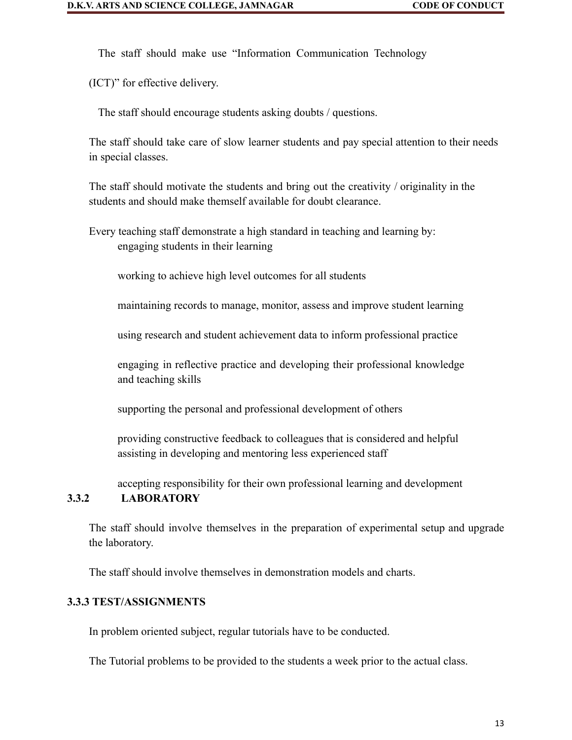The staff should make use "Information Communication Technology

(ICT)" for effective delivery.

The staff should encourage students asking doubts / questions.

The staff should take care of slow learner students and pay special attention to their needs in special classes.

The staff should motivate the students and bring out the creativity / originality in the students and should make themself available for doubt clearance.

Every teaching staff demonstrate a high standard in teaching and learning by: engaging students in their learning

working to achieve high level outcomes for all students

maintaining records to manage, monitor, assess and improve student learning

using research and student achievement data to inform professional practice

engaging in reflective practice and developing their professional knowledge and teaching skills

supporting the personal and professional development of others

providing constructive feedback to colleagues that is considered and helpful assisting in developing and mentoring less experienced staff

accepting responsibility for their own professional learning and development

# **3.3.2 LABORATORY**

The staff should involve themselves in the preparation of experimental setup and upgrade the laboratory.

The staff should involve themselves in demonstration models and charts.

### **3.3.3 TEST/ASSIGNMENTS**

In problem oriented subject, regular tutorials have to be conducted.

The Tutorial problems to be provided to the students a week prior to the actual class.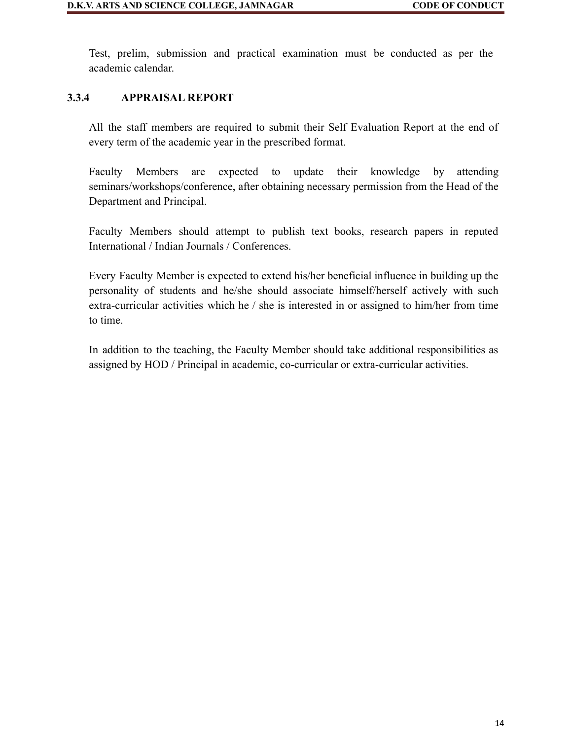Test, prelim, submission and practical examination must be conducted as per the academic calendar.

### **3.3.4 APPRAISAL REPORT**

All the staff members are required to submit their Self Evaluation Report at the end of every term of the academic year in the prescribed format.

Faculty Members are expected to update their knowledge by attending seminars/workshops/conference, after obtaining necessary permission from the Head of the Department and Principal.

Faculty Members should attempt to publish text books, research papers in reputed International / Indian Journals / Conferences.

Every Faculty Member is expected to extend his/her beneficial influence in building up the personality of students and he/she should associate himself/herself actively with such extra-curricular activities which he / she is interested in or assigned to him/her from time to time.

In addition to the teaching, the Faculty Member should take additional responsibilities as assigned by HOD / Principal in academic, co-curricular or extra-curricular activities.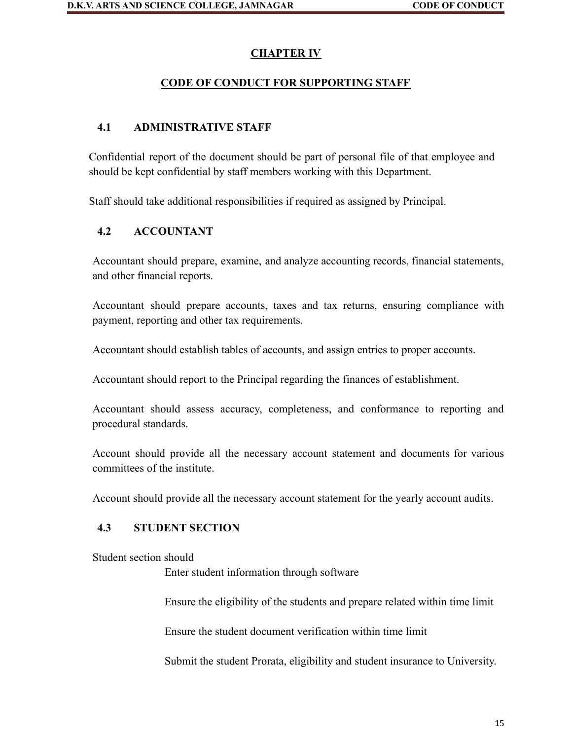# **CHAPTER IV**

### **CODE OF CONDUCT FOR SUPPORTING STAFF**

# **4.1 ADMINISTRATIVE STAFF**

Confidential report of the document should be part of personal file of that employee and should be kept confidential by staff members working with this Department.

Staff should take additional responsibilities if required as assigned by Principal.

### **4.2 ACCOUNTANT**

Accountant should prepare, examine, and analyze accounting records, financial statements, and other financial reports.

Accountant should prepare accounts, taxes and tax returns, ensuring compliance with payment, reporting and other tax requirements.

Accountant should establish tables of accounts, and assign entries to proper accounts.

Accountant should report to the Principal regarding the finances of establishment.

Accountant should assess accuracy, completeness, and conformance to reporting and procedural standards.

Account should provide all the necessary account statement and documents for various committees of the institute.

Account should provide all the necessary account statement for the yearly account audits.

### **4.3 STUDENT SECTION**

Student section should

Enter student information through software

Ensure the eligibility of the students and prepare related within time limit

Ensure the student document verification within time limit

Submit the student Prorata, eligibility and student insurance to University.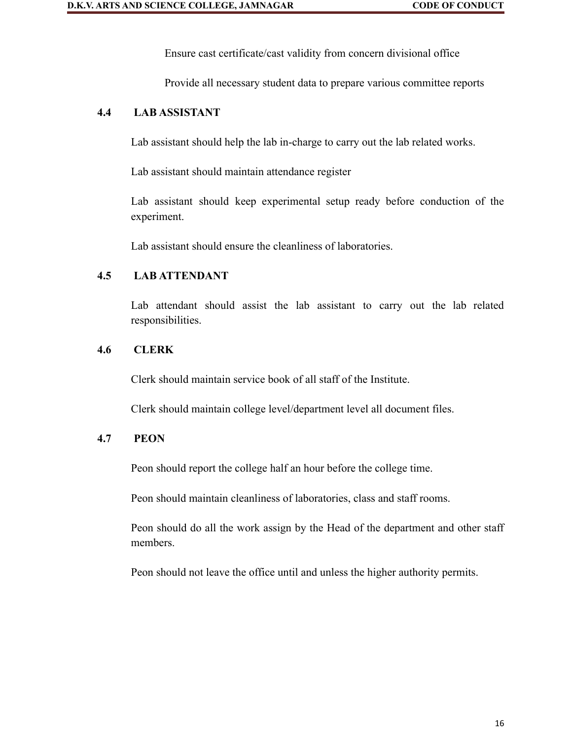Ensure cast certificate/cast validity from concern divisional office

Provide all necessary student data to prepare various committee reports

### **4.4 LAB ASSISTANT**

Lab assistant should help the lab in-charge to carry out the lab related works.

Lab assistant should maintain attendance register

Lab assistant should keep experimental setup ready before conduction of the experiment.

Lab assistant should ensure the cleanliness of laboratories.

#### **4.5 LAB ATTENDANT**

Lab attendant should assist the lab assistant to carry out the lab related responsibilities.

#### **4.6 CLERK**

Clerk should maintain service book of all staff of the Institute.

Clerk should maintain college level/department level all document files.

### **4.7 PEON**

Peon should report the college half an hour before the college time.

Peon should maintain cleanliness of laboratories, class and staff rooms.

Peon should do all the work assign by the Head of the department and other staff members.

Peon should not leave the office until and unless the higher authority permits.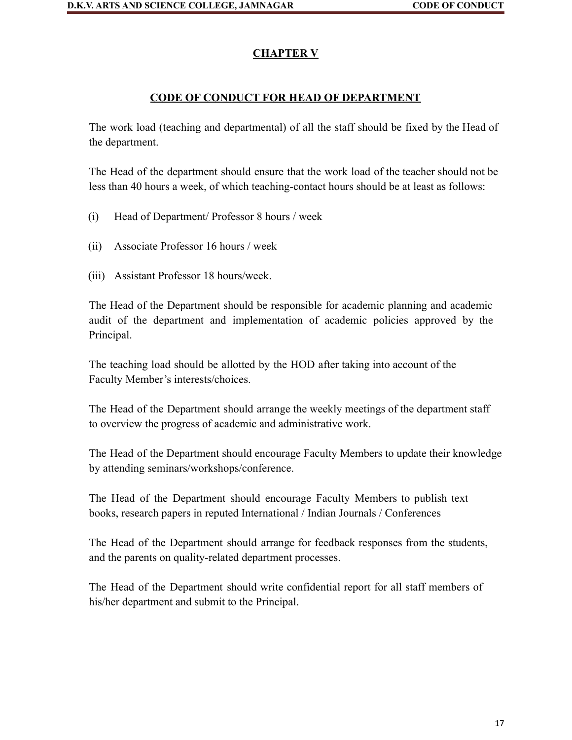# **CHAPTER V**

### **CODE OF CONDUCT FOR HEAD OF DEPARTMENT**

The work load (teaching and departmental) of all the staff should be fixed by the Head of the department.

The Head of the department should ensure that the work load of the teacher should not be less than 40 hours a week, of which teaching-contact hours should be at least as follows:

- (i) Head of Department/ Professor 8 hours / week
- (ii) Associate Professor 16 hours / week
- (iii) Assistant Professor 18 hours/week.

The Head of the Department should be responsible for academic planning and academic audit of the department and implementation of academic policies approved by the Principal.

The teaching load should be allotted by the HOD after taking into account of the Faculty Member's interests/choices.

The Head of the Department should arrange the weekly meetings of the department staff to overview the progress of academic and administrative work.

The Head of the Department should encourage Faculty Members to update their knowledge by attending seminars/workshops/conference.

The Head of the Department should encourage Faculty Members to publish text books, research papers in reputed International / Indian Journals / Conferences

The Head of the Department should arrange for feedback responses from the students, and the parents on quality-related department processes.

The Head of the Department should write confidential report for all staff members of his/her department and submit to the Principal.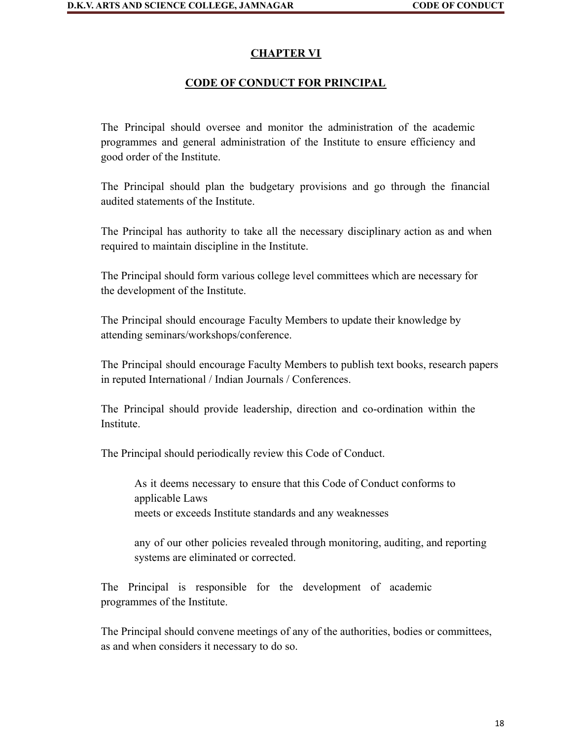#### **CHAPTER VI**

#### **CODE OF CONDUCT FOR PRINCIPAL**

The Principal should oversee and monitor the administration of the academic programmes and general administration of the Institute to ensure efficiency and good order of the Institute.

The Principal should plan the budgetary provisions and go through the financial audited statements of the Institute.

The Principal has authority to take all the necessary disciplinary action as and when required to maintain discipline in the Institute.

The Principal should form various college level committees which are necessary for the development of the Institute.

The Principal should encourage Faculty Members to update their knowledge by attending seminars/workshops/conference.

The Principal should encourage Faculty Members to publish text books, research papers in reputed International / Indian Journals / Conferences.

The Principal should provide leadership, direction and co-ordination within the Institute.

The Principal should periodically review this Code of Conduct.

As it deems necessary to ensure that this Code of Conduct conforms to applicable Laws meets or exceeds Institute standards and any weaknesses

any of our other policies revealed through monitoring, auditing, and reporting systems are eliminated or corrected.

The Principal is responsible for the development of academic programmes of the Institute.

The Principal should convene meetings of any of the authorities, bodies or committees, as and when considers it necessary to do so.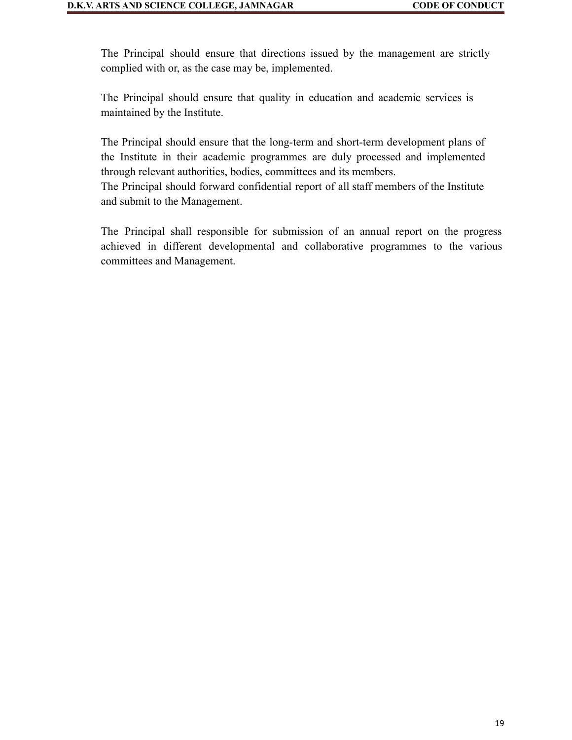The Principal should ensure that directions issued by the management are strictly complied with or, as the case may be, implemented.

The Principal should ensure that quality in education and academic services is maintained by the Institute.

The Principal should ensure that the long-term and short-term development plans of the Institute in their academic programmes are duly processed and implemented through relevant authorities, bodies, committees and its members.

The Principal should forward confidential report of all staff members of the Institute and submit to the Management.

The Principal shall responsible for submission of an annual report on the progress achieved in different developmental and collaborative programmes to the various committees and Management.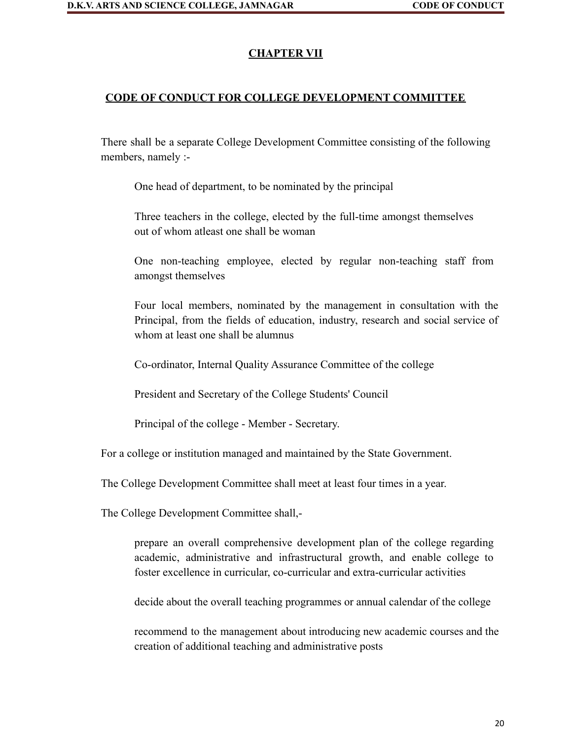#### **CHAPTER VII**

#### **CODE OF CONDUCT FOR COLLEGE DEVELOPMENT COMMITTEE**

There shall be a separate College Development Committee consisting of the following members, namely :-

One head of department, to be nominated by the principal

Three teachers in the college, elected by the full-time amongst themselves out of whom atleast one shall be woman

One non-teaching employee, elected by regular non-teaching staff from amongst themselves

Four local members, nominated by the management in consultation with the Principal, from the fields of education, industry, research and social service of whom at least one shall be alumnus

Co-ordinator, Internal Quality Assurance Committee of the college

President and Secretary of the College Students' Council

Principal of the college - Member - Secretary.

For a college or institution managed and maintained by the State Government.

The College Development Committee shall meet at least four times in a year.

The College Development Committee shall,-

prepare an overall comprehensive development plan of the college regarding academic, administrative and infrastructural growth, and enable college to foster excellence in curricular, co-curricular and extra-curricular activities

decide about the overall teaching programmes or annual calendar of the college

recommend to the management about introducing new academic courses and the creation of additional teaching and administrative posts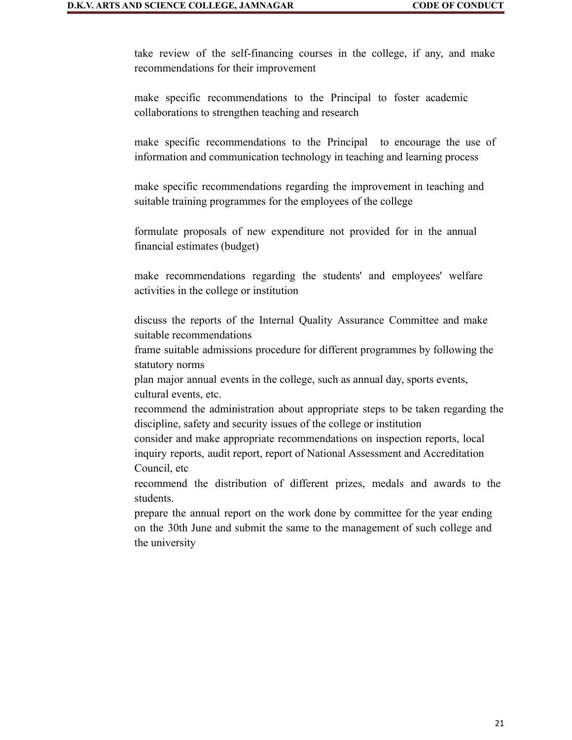take review of the self-financing courses in the college, if any, and make recommendations for their improvement

make specific recommendations to the Principal to foster academic collaborations to strengthen teaching and research

make specific recommendations to the Principal to encourage the use of information and communication technology in teaching and learning process

make specific recommendations regarding the improvement in teaching and suitable training programmes for the employees of the college

formulate proposals of new expenditure not provided for in the annual financial estimates (budget)

make recommendations regarding the students' and employees' welfare activities in the college or institution

discuss the reports of the Internal Quality Assurance Committee and make suitable recommendations

frame suitable admissions procedure for different programmes by following the statutory norms

plan major annual events in the college, such as annual day, sports events, cultural events, etc.

recommend the administration about appropriate steps to be taken regarding the discipline, safety and security issues of the college or institution

consider and make appropriate recommendations on inspection reports, local inquiry reports, audit report, report of National Assessment and Accreditation Council, etc

recommend the distribution of different prizes, medals and awards to the students.

prepare the annual report on the work done by committee for the year ending on the 30th June and submit the same to the management of such college and the university